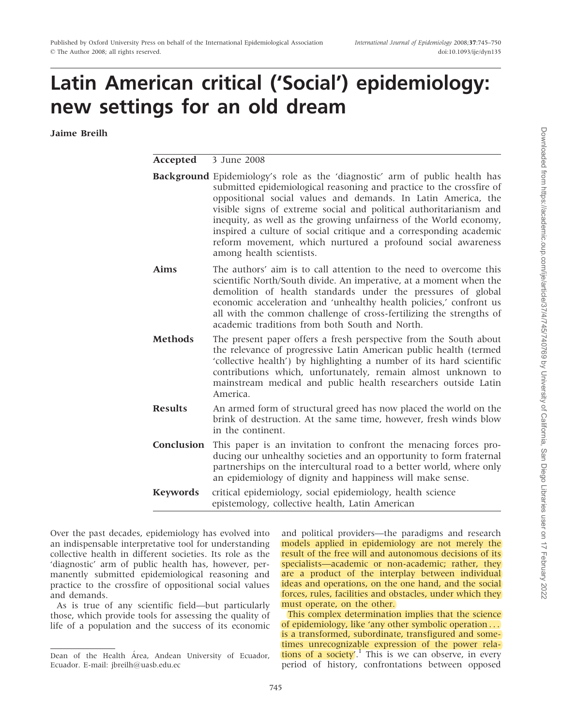# Latin American critical ('Social') epidemiology: new settings for an old dream

Jaime Breilh

Accepted 3 June 2008

|                | <b>Background</b> Epidemiology's role as the 'diagnostic' arm of public health has<br>submitted epidemiological reasoning and practice to the crossfire of<br>oppositional social values and demands. In Latin America, the<br>visible signs of extreme social and political authoritarianism and<br>inequity, as well as the growing unfairness of the World economy,<br>inspired a culture of social critique and a corresponding academic<br>reform movement, which nurtured a profound social awareness<br>among health scientists. |
|----------------|-----------------------------------------------------------------------------------------------------------------------------------------------------------------------------------------------------------------------------------------------------------------------------------------------------------------------------------------------------------------------------------------------------------------------------------------------------------------------------------------------------------------------------------------|
| <b>Aims</b>    | The authors' aim is to call attention to the need to overcome this<br>scientific North/South divide. An imperative, at a moment when the<br>demolition of health standards under the pressures of global<br>economic acceleration and 'unhealthy health policies,' confront us<br>all with the common challenge of cross-fertilizing the strengths of<br>academic traditions from both South and North.                                                                                                                                 |
| <b>Methods</b> | The present paper offers a fresh perspective from the South about<br>the relevance of progressive Latin American public health (termed<br>'collective health') by highlighting a number of its hard scientific<br>contributions which, unfortunately, remain almost unknown to<br>mainstream medical and public health researchers outside Latin<br>America.                                                                                                                                                                            |
| <b>Results</b> | An armed form of structural greed has now placed the world on the<br>brink of destruction. At the same time, however, fresh winds blow<br>in the continent.                                                                                                                                                                                                                                                                                                                                                                             |
| Conclusion     | This paper is an invitation to confront the menacing forces pro-<br>ducing our unhealthy societies and an opportunity to form fraternal<br>partnerships on the intercultural road to a better world, where only                                                                                                                                                                                                                                                                                                                         |

Keywords critical epidemiology, social epidemiology, health science epistemology, collective health, Latin American

an epidemiology of dignity and happiness will make sense.

Over the past decades, epidemiology has evolved into an indispensable interpretative tool for understanding collective health in different societies. Its role as the 'diagnostic' arm of public health has, however, permanently submitted epidemiological reasoning and practice to the crossfire of oppositional social values and demands.

As is true of any scientific field—but particularly those, which provide tools for assessing the quality of life of a population and the success of its economic and political providers—the paradigms and research models applied in epidemiology are not merely the result of the free will and autonomous decisions of its specialists—academic or non-academic; rather, they are a product of the interplay between individual ideas and operations, on the one hand, and the social forces, rules, facilities and obstacles, under which they must operate, on the other.

This complex determination implies that the science of epidemiology, like 'any other symbolic operation ... is a transformed, subordinate, transfigured and sometimes unrecognizable expression of the power relations of a society'.<sup>1</sup> This is we can observe, in every period of history, confrontations between opposed

Dean of the Health Área, Andean University of Ecuador, Ecuador. E-mail: jbreilh@uasb.edu.ec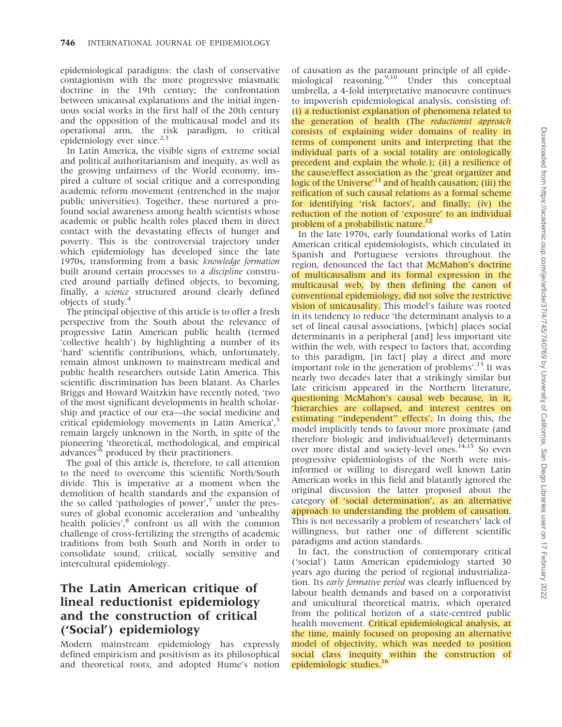epidemiological paradigms: the clash of conservative contagionism with the more progressive miasmatic doctrine in the 19th century; the confrontation between unicausal explanations and the initial ingenuous social works in the first half of the 20th century and the opposition of the multicausal model and its operational arm, the risk paradigm, to critical epidemiology ever since.<sup>2,3</sup>

In Latin America, the visible signs of extreme social and political authoritarianism and inequity, as well as the growing unfairness of the World economy, inspired a culture of social critique and a corresponding academic reform movement (entrenched in the major public universities). Together, these nurtured a profound social awareness among health scientists whose academic or public health roles placed them in direct contact with the devastating effects of hunger and poverty. This is the controversial trajectory under which epidemiology has developed since the late 1970s, transforming from a basic knowledge formation built around certain processes to a discipline constructed around partially defined objects, to becoming, finally, a *science* structured around clearly defined objects of study.<sup>4</sup>

The principal objective of this article is to offer a fresh perspective from the South about the relevance of progressive Latin American public health (termed 'collective health') by highlighting a number of its 'hard' scientific contributions, which, unfortunately, remain almost unknown to mainstream medical and public health researchers outside Latin America. This scientific discrimination has been blatant. As Charles Briggs and Howard Waitzkin have recently noted, 'two of the most significant developments in health scholarship and practice of our era—the social medicine and critical epidemiology movements in Latin America',<sup>5</sup> remain largely unknown in the North, in spite of the pioneering 'theoretical, methodological, and empirical advances'<sup>6</sup> produced by their practitioners.

The goal of this article is, therefore, to call attention to the need to overcome this scientific North/South divide. This is imperative at a moment when the demolition of health standards and the expansion of the so called 'pathologies of power', $7$  under the pressures of global economic acceleration and 'unhealthy health policies',<sup>8</sup> confront us all with the common challenge of cross-fertilizing the strengths of academic traditions from both South and North in order to consolidate sound, critical, socially sensitive and intercultural epidemiology.

## The Latin American critique of lineal reductionist epidemiology and the construction of critical ('Social') epidemiology

Modern mainstream epidemiology has expressly defined empiricism and positivism as its philosophical and theoretical roots, and adopted Hume's notion

of causation as the paramount principle of all epidemiological reasoning.<sup>9,10</sup> Under this conceptual umbrella, a 4-fold interpretative manoeuvre continues to impoverish epidemiological analysis, consisting of: (i) a reductionist explanation of phenomena related to the generation of health (The reductionist approach consists of explaining wider domains of reality in terms of component units and interpreting that the individual parts of a social totality are ontologically precedent and explain the whole.); (ii) a resilience of the cause/effect association as the 'great organizer and logic of the Universe'<sup>11</sup> and of health causation; (iii) the reification of such causal relations as a formal scheme for identifying 'risk factors', and finally; (iv) the reduction of the notion of 'exposure' to an individual problem of a probabilistic nature. $12$ 

In the late 1970s, early foundational works of Latin American critical epidemiologists, which circulated in Spanish and Portuguese versions throughout the region, denounced the fact that McMahon's doctrine of multicausalism and its formal expression in the multicausal web, by then defining the canon of conventional epidemiology, did not solve the restrictive vision of unicausality. This model's failure was rooted in its tendency to reduce 'the determinant analysis to a set of lineal causal associations, [which] places social determinants in a peripheral [and] less important site within the web, with respect to factors that, according to this paradigm, [in fact] play a direct and more important role in the generation of problems'.<sup>13</sup> It was nearly two decades later that a strikingly similar but late criticism appeared in the Northern literature, questioning McMahon's causal web because, in it, 'hierarchies are collapsed, and interest centres on estimating ''independent'' effects'. In doing this, the model implicitly tends to favour more proximate (and therefore biologic and individual/level) determinants over more distal and society-level ones.<sup>14,15</sup> So even progressive epidemiologists of the North were misinformed or willing to disregard well known Latin American works in this field and blatantly ignored the original discussion the latter proposed about the category of 'social determination', as an alternative approach to understanding the problem of causation. This is not necessarily a problem of researchers' lack of willingness, but rather one of different scientific paradigms and action standards.

In fact, the construction of contemporary critical ('social') Latin American epidemiology started 30 years ago during the period of regional industrialization. Its early formative period was clearly influenced by labour health demands and based on a corporativist and unicultural theoretical matrix, which operated from the political horizon of a state-centred public health movement. Critical epidemiological analysis, at the time, mainly focused on proposing an alternative model of objectivity, which was needed to position social class inequity within the construction of epidemiologic studies.<sup>1</sup>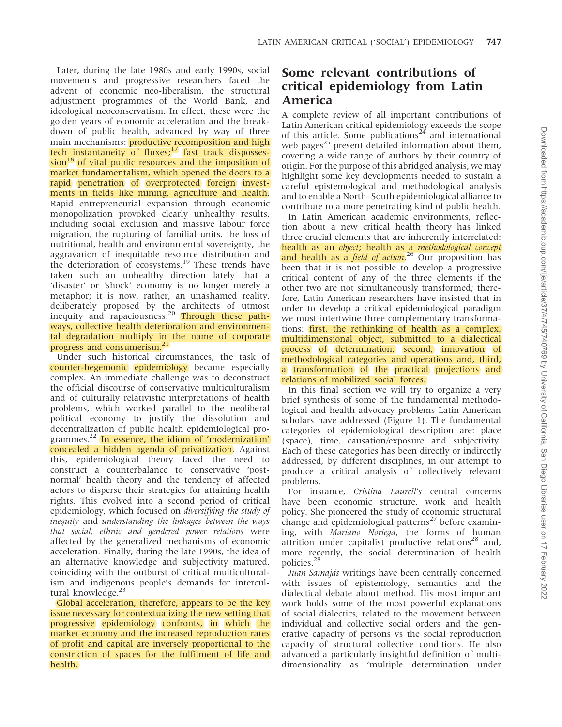Later, during the late 1980s and early 1990s, social movements and progressive researchers faced the advent of economic neo-liberalism, the structural adjustment programmes of the World Bank, and ideological neoconservatism. In effect, these were the golden years of economic acceleration and the breakdown of public health, advanced by way of three main mechanisms: **productive recomposition and high** tech instantaneity of fluxes; $17$  fast track disposses- $\sin^{18}$  of vital public resources and the imposition of market fundamentalism, which opened the doors to a rapid penetration of overprotected foreign investments in fields like mining, agriculture and health. Rapid entrepreneurial expansion through economic monopolization provoked clearly unhealthy results, including social exclusion and massive labour force migration, the rupturing of familial units, the loss of nutritional, health and environmental sovereignty, the aggravation of inequitable resource distribution and the deterioration of ecosystems.<sup>19</sup> These trends have taken such an unhealthy direction lately that a 'disaster' or 'shock' economy is no longer merely a metaphor; it is now, rather, an unashamed reality, deliberately proposed by the architects of utmost inequity and rapaciousness.<sup>20</sup> Through these pathways, collective health deterioration and environmental degradation multiply in the name of corporate progress and consumerism.<sup>21</sup>

Under such historical circumstances, the task of counter-hegemonic epidemiology became especially complex. An immediate challenge was to deconstruct the official discourse of conservative multiculturalism and of culturally relativistic interpretations of health problems, which worked parallel to the neoliberal political economy to justify the dissolution and decentralization of public health epidemiological programmes. $^{22}$  In essence, the idiom of 'modernization' concealed a hidden agenda of privatization. Against this, epidemiological theory faced the need to construct a counterbalance to conservative 'postnormal' health theory and the tendency of affected actors to disperse their strategies for attaining health rights. This evolved into a second period of critical epidemiology, which focused on diversifying the study of inequity and understanding the linkages between the ways that social, ethnic and gendered power relations were affected by the generalized mechanisms of economic acceleration. Finally, during the late 1990s, the idea of an alternative knowledge and subjectivity matured, coinciding with the outburst of critical multiculturalism and indigenous people's demands for intercultural knowledge.<sup>23</sup>

Global acceleration, therefore, appears to be the key issue necessary for contextualizing the new setting that progressive epidemiology confronts, in which the market economy and the increased reproduction rates of profit and capital are inversely proportional to the constriction of spaces for the fulfilment of life and health.

# Some relevant contributions of critical epidemiology from Latin America

A complete review of all important contributions of Latin American critical epidemiology exceeds the scope of this article. Some publications<sup>24</sup> and international web pages<sup>25</sup> present detailed information about them, covering a wide range of authors by their country of origin. For the purpose of this abridged analysis, we may highlight some key developments needed to sustain a careful epistemological and methodological analysis and to enable a North–South epidemiological alliance to contribute to a more penetrating kind of public health.

In Latin American academic environments, reflection about a new critical health theory has linked three crucial elements that are inherently interrelated: health as an object; health as a methodological concept and health as a *field of action*.<sup>26</sup> Our proposition has been that it is not possible to develop a progressive critical content of any of the three elements if the other two are not simultaneously transformed; therefore, Latin American researchers have insisted that in order to develop a critical epidemiological paradigm we must intertwine three complementary transformations: first, the rethinking of health as a complex, multidimensional object, submitted to a dialectical process of determination; second, innovation of methodological categories and operations and, third, a transformation of the practical projections and relations of mobilized social forces.

In this final section we will try to organize a very brief synthesis of some of the fundamental methodological and health advocacy problems Latin American scholars have addressed (Figure 1). The fundamental categories of epidemiological description are: place (space), time, causation/exposure and subjectivity. Each of these categories has been directly or indirectly addressed, by different disciplines, in our attempt to produce a critical analysis of collectively relevant problems.

For instance, Cristina Laurell's central concerns have been economic structure, work and health policy. She pioneered the study of economic structural change and epidemiological patterns $^{27}$  before examining, with Mariano Noriega, the forms of human attrition under capitalist productive relations<sup>28</sup> and, more recently, the social determination of health policies.<sup>29</sup>

Juan Samajás writings have been centrally concerned with issues of epistemology, semantics and the dialectical debate about method. His most important work holds some of the most powerful explanations of social dialectics, related to the movement between individual and collective social orders and the generative capacity of persons vs the social reproduction capacity of structural collective conditions. He also advanced a particularly insightful definition of multidimensionality as 'multiple determination under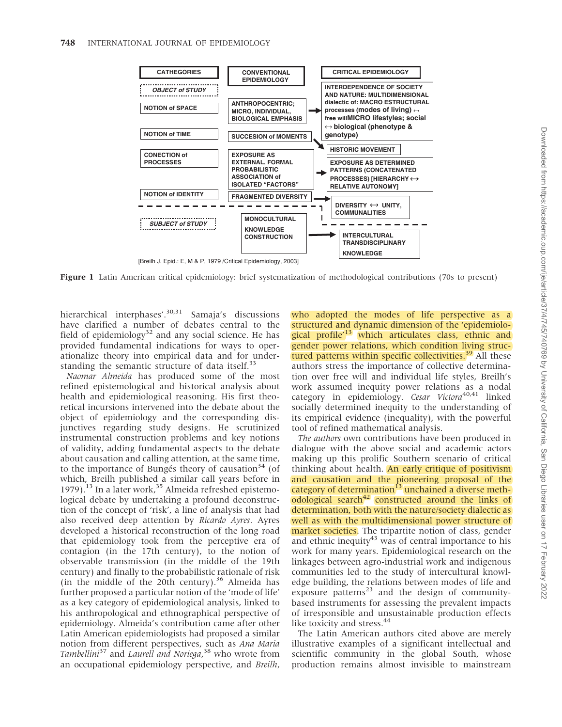

Figure 1 Latin American critical epidemiology: brief systematization of methodological contributions (70s to present)

hierarchical interphases'.<sup>30,31</sup> Samaja's discussions have clarified a number of debates central to the field of epidemiology<sup>32</sup> and any social science. He has provided fundamental indications for ways to operationalize theory into empirical data and for understanding the semantic structure of data itself.<sup>33</sup>

Naomar Almeida has produced some of the most refined epistemological and historical analysis about health and epidemiological reasoning. His first theoretical incursions intervened into the debate about the object of epidemiology and the corresponding disjunctives regarding study designs. He scrutinized instrumental construction problems and key notions of validity, adding fundamental aspects to the debate about causation and calling attention, at the same time, to the importance of Bungés theory of causation<sup>34</sup> (of which, Breilh published a similar call years before in 1979).<sup>13</sup> In a later work,<sup>35</sup> Almeida refreshed epistemological debate by undertaking a profound deconstruction of the concept of 'risk', a line of analysis that had also received deep attention by Ricardo Ayres. Ayres developed a historical reconstruction of the long road that epidemiology took from the perceptive era of contagion (in the 17th century), to the notion of observable transmission (in the middle of the 19th century) and finally to the probabilistic rationale of risk (in the middle of the 20th century). $36$  Almeida has further proposed a particular notion of the 'mode of life' as a key category of epidemiological analysis, linked to his anthropological and ethnographical perspective of epidemiology. Almeida's contribution came after other Latin American epidemiologists had proposed a similar notion from different perspectives, such as Ana Maria Tambellini<sup>37</sup> and Laurell and Noriega,<sup>38</sup> who wrote from an occupational epidemiology perspective, and Breilh,

who adopted the modes of life perspective as a structured and dynamic dimension of the 'epidemiological profile<sup>'13</sup> which articulates class, ethnic and gender power relations, which condition living structured patterns within specific collectivities. $39$  All these authors stress the importance of collective determination over free will and individual life styles, Breilh's work assumed inequity power relations as a nodal category in epidemiology. Cesar Victora<sup>40,41</sup> linked socially determined inequity to the understanding of its empirical evidence (inequality), with the powerful tool of refined mathematical analysis.

The authors own contributions have been produced in dialogue with the above social and academic actors making up this prolific Southern scenario of critical thinking about health. An early critique of positivism and causation and the pioneering proposal of the category of determination<sup>13</sup> unchained a diverse methodological search $42$  constructed around the links of determination, both with the nature/society dialectic as well as with the multidimensional power structure of market societies. The tripartite notion of class, gender and ethnic inequity<sup>43</sup> was of central importance to his work for many years. Epidemiological research on the linkages between agro-industrial work and indigenous communities led to the study of intercultural knowledge building, the relations between modes of life and exposure patterns<sup>23</sup> and the design of communitybased instruments for assessing the prevalent impacts of irresponsible and unsustainable production effects like toxicity and stress.<sup>44</sup>

The Latin American authors cited above are merely illustrative examples of a significant intellectual and scientific community in the global South, whose production remains almost invisible to mainstream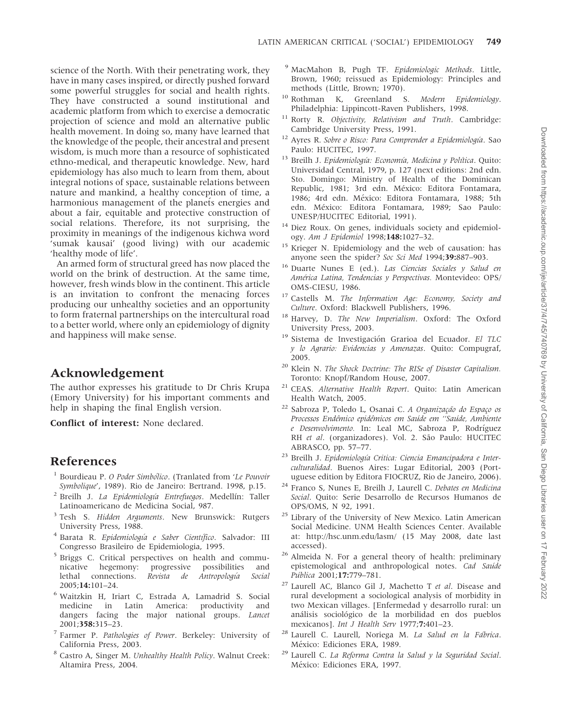science of the North. With their penetrating work, they have in many cases inspired, or directly pushed forward some powerful struggles for social and health rights. They have constructed a sound institutional and academic platform from which to exercise a democratic projection of science and mold an alternative public health movement. In doing so, many have learned that the knowledge of the people, their ancestral and present wisdom, is much more than a resource of sophisticated ethno-medical, and therapeutic knowledge. New, hard epidemiology has also much to learn from them, about integral notions of space, sustainable relations between nature and mankind, a healthy conception of time, a harmonious management of the planets energies and about a fair, equitable and protective construction of social relations. Therefore, its not surprising, the proximity in meanings of the indigenous kichwa word 'sumak kausai' (good living) with our academic 'healthy mode of life'.

An armed form of structural greed has now placed the world on the brink of destruction. At the same time, however, fresh winds blow in the continent. This article is an invitation to confront the menacing forces producing our unhealthy societies and an opportunity to form fraternal partnerships on the intercultural road to a better world, where only an epidemiology of dignity and happiness will make sense.

### Acknowledgement

The author expresses his gratitude to Dr Chris Krupa (Emory University) for his important comments and help in shaping the final English version.

Conflict of interest: None declared.

#### References

- Bourdieau P. O Poder Simbólico. (Tranlated from 'Le Pouvoir Symbolique', 1989). Rio de Janeiro: Bertrand. 1998, p.15.
- <sup>2</sup> Breilh J. La Epidemiología Entrefuegos. Medellín: Taller Latinoamericano de Medicina Social, 987.
- <sup>3</sup> Tesh S. Hidden Arguments. New Brunswick: Rutgers University Press, 1988.
- <sup>4</sup> Barata R. Epidemiología e Saber Científico. Salvador: III Congresso Brasileiro de Epidemiologia, 1995.
- <sup>5</sup> Briggs C. Critical perspectives on health and communicative hegemony: progressive possibilities and lethal connections. Revista de Antropología Social 2005;14:101–24.
- <sup>6</sup> Waitzkin H, Iriart C, Estrada A, Lamadrid S. Social medicine in Latin America: productivity and dangers facing the major national groups. Lancet 2001;358:315–23.
- <sup>7</sup> Farmer P. Pathologies of Power. Berkeley: University of California Press, 2003.
- <sup>8</sup> Castro A, Singer M. Unhealthy Health Policy. Walnut Creek: Altamira Press, 2004.
- <sup>9</sup> MacMahon B, Pugh TF. Epidemiologic Methods. Little, Brown, 1960; reissued as Epidemiology: Principles and methods (Little, Brown; 1970).
- Rothman K, Greenland S. Modern Epidemiology. Philadelphia: Lippincott-Raven Publishers, 1998.
- Rorty R. Objectivity, Relativism and Truth. Cambridge: Cambridge University Press, 1991.
- <sup>12</sup> Ayres R. Sobre o Risco: Para Comprender a Epidemiología. Sao Paulo: HUCITEC, 1997.
- Breilh J. Epidemiología: Economía, Medicina y Política. Quito: Universidad Central, 1979, p. 127 (next editions: 2nd edn. Sto. Domingo: Ministry of Health of the Dominican Republic, 1981; 3rd edn. México: Editora Fontamara, 1986; 4rd edn. México: Editora Fontamara, 1988; 5th edn. México: Editora Fontamara, 1989; Sao Paulo: UNESP/HUCITEC Editorial, 1991).
- <sup>14</sup> Diez Roux. On genes, individuals society and epidemiology. Am J Epidemiol 1998;148:1027–32.
- <sup>15</sup> Krieger N. Epidemiology and the web of causation: has anyone seen the spider? Soc Sci Med 1994;39:887–903.
- <sup>16</sup> Duarte Nunes E (ed.). Las Ciencias Sociales y Salud en América Latina, Tendencias y Perspectivas. Montevideo: OPS/ OMS-CIESU, 1986.
- <sup>17</sup> Castells M. The Information Age: Economy, Society and Culture. Oxford: Blackwell Publishers, 1996.
- <sup>18</sup> Harvey, D. The New Imperialism. Oxford: The Oxford University Press, 2003.
- Sistema de Investigación Grarioa del Ecuador. El TLC y lo Agrario: Evidencias y Amenazas. Quito: Compugraf, 2005.
- <sup>20</sup> Klein N. The Shock Doctrine: The RISe of Disaster Capitalism. Toronto: Knopf/Random House, 2007.
- <sup>21</sup> CEAS. Alternative Health Report. Quito: Latin American Health Watch, 2005.
- <sup>22</sup> Sabroza P, Toledo L, Osanai C. A Organização do Espaco os Processos Endêmico epidêmicos em Saúde em "Saúde, Ambiente e Desenvolvimento. In: Leal MC, Sabroza P, Rodríguez RH et al. (organizadores). Vol. 2. São Paulo: HUCITEC ABRASCO, pp. 57–77.
- <sup>23</sup> Breilh J. Epidemiología Critica: Ciencia Emancipadora e Interculturalidad. Buenos Aires: Lugar Editorial, 2003 (Portuguese edition by Editora FIOCRUZ, Rio de Janeiro, 2006).
- <sup>24</sup> Franco S, Nunes E, Breilh J, Laurell C. Debates en Medicina Social. Quito: Serie Desarrollo de Recursos Humanos de OPS/OMS, N 92, 1991.
- <sup>25</sup> Library of the University of New Mexico. Latin American Social Medicine. UNM Health Sciences Center. Available at:<http://hsc.unm.edu/lasm/> (15 May 2008, date last accessed).
- <sup>26</sup> Almeida N. For a general theory of health: preliminary epistemological and anthropological notes. Cad Saúde Pública 2001;17:779-781.
- $27$  Laurell AC, Blanco Gil J, Machetto T et al. Disease and rural development a sociological analysis of morbidity in two Mexican villages. [Enfermedad y desarrollo rural: un análisis sociológico de la morbilidad en dos pueblos mexicanos]. Int J Health Serv 1977;7:401–23.
- Laurell C. Laurell, Noriega M. La Salud en la Fábrica. México: Ediciones ERA, 1989.
- <sup>29</sup> Laurell C. La Reforma Contra la Salud y la Seguridad Social. México: Ediciones ERA, 1997.